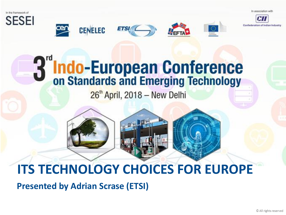In association with





# Indo-European Conference<br>on Standards and Emerging Technology

**ETSI** 

 $26<sup>th</sup>$  April, 2018 - New Delhi

### **ITS TECHNOLOGY CHOICES FOR EUROPE**

**Presented by Adrian Scrase (ETSI)**

**CENELEC**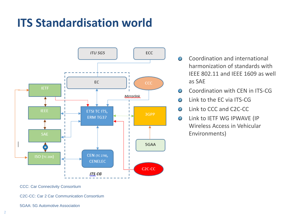### **ITS Standardisation world**



- Coordination and international  $\mathcal{A}_{\mathcal{B}}$ harmonization of standards with IEEE 802.11 and IEEE 1609 as well as SAE
- Coordination with CEN in ITS-CG  $\mathcal{L}_{\mathcal{B}}^{2}$
- Link to the EC via ITS-CG  $\mathcal{A}_{\mathcal{B}}$
- $\mathcal{L}_{\mathcal{A}}$ Link to CCC and C2C-CC
- Link to IETF WG IPWAVE (IP  $\mathcal{L}_{\mathcal{B}}$ Wireless Access in Vehicular Environments)

CCC: Car Connectivity Consortium

C2C-CC: Car 2 Car Communication Consortium

5GAA: 5G Automotive Association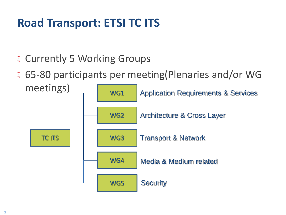# **Road Transport: ETSI TC ITS**

- Currently 5 Working Groups  $\mathcal{Y}$
- 65-80 participants per meeting(Plenaries and/or WG

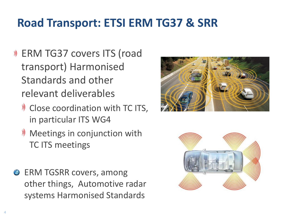# **Road Transport: ETSI ERM TG37 & SRR**

- ERM TG37 covers ITS (road transport) Harmonised Standards and other relevant deliverables
	- **W** Close coordination with TC ITS, in particular ITS WG4
	- $\mathcal{Y}$  Meetings in conjunction with TC ITS meetings
- **ERM TGSRR covers, among** other things, Automotive radar systems Harmonised Standards



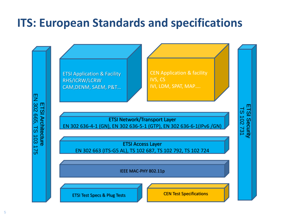#### **ITS: European Standards and specifications**

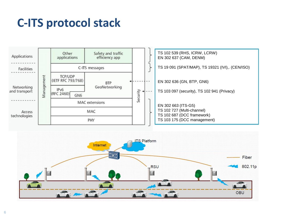#### **C-ITS protocol stack**



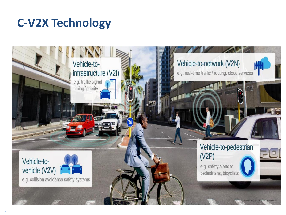### **C-V2X Technology**

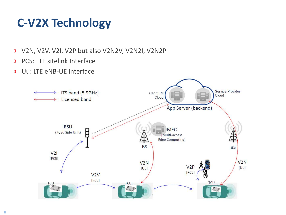# **C-V2X Technology**

- **))** V2N, V2V, V2I, V2P but also V2N2V, V2N2I, V2N2P
- PC5: LTE sitelink Interface  $\mathcal{Y}$
- Uu: LTE eNB-UE Interface  $\mathcal{Y}$

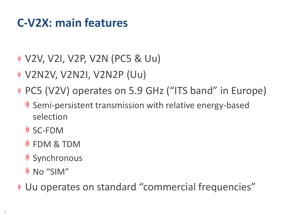#### **C-V2X: main features**

- V2V, V2I, V2P, V2N (PC5 & Uu)
- V2N2V, V2N2I, V2N2P (Uu)
- PC5 (V2V) operates on 5.9 GHz ("ITS band" in Europe)
	- Semi-persistent transmission with relative energy-based selection
	- SC-FDM
	- FDM & TDM
	- Synchronous
	- No "SIM"
- Uu operates on standard "commercial frequencies"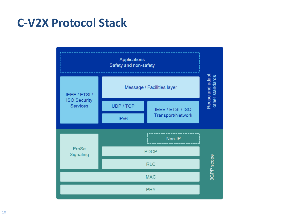#### **C-V2X Protocol Stack**

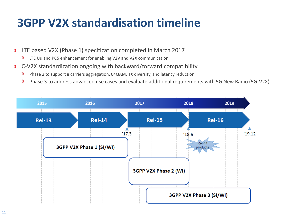### **3GPP V2X standardisation timeline**

- LTE based V2X (Phase 1) specification completed in March 2017 **))** 
	- **))** LTE Uu and PC5 enhancement for enabling V2V and V2X communication
- C-V2X standardization ongoing with backward/forward compatibility  $\mathcal{Y}$ 
	- Phase 2 to support 8 carriers aggregation, 64QAM, TX diversity, and latency reduction  $\mathcal{Y}$
	- $\mathcal{Y}$ Phase 3 to address advanced use cases and evaluate additional requirements with 5G New Radio (5G-V2X)